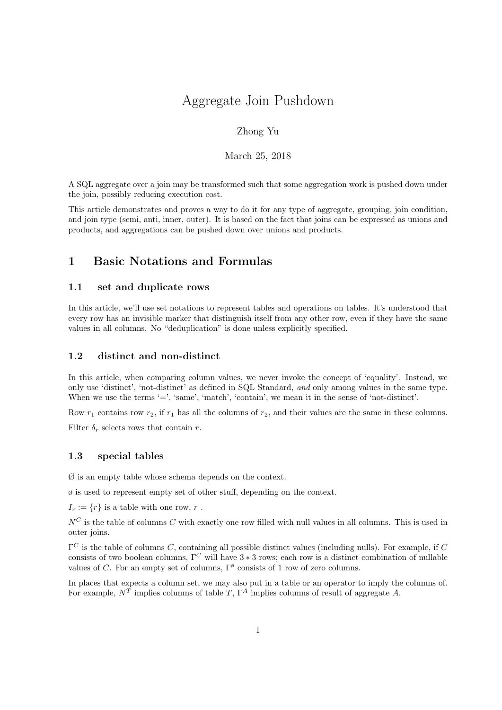# Aggregate Join Pushdown

### Zhong Yu

#### March 25, 2018

A SQL aggregate over a join may be transformed such that some aggregation work is pushed down under the join, possibly reducing execution cost.

This article demonstrates and proves a way to do it for any type of aggregate, grouping, join condition, and join type (semi, anti, inner, outer). It is based on the fact that joins can be expressed as unions and products, and aggregations can be pushed down over unions and products.

# 1 Basic Notations and Formulas

### 1.1 set and duplicate rows

In this article, we'll use set notations to represent tables and operations on tables. It's understood that every row has an invisible marker that distinguish itself from any other row, even if they have the same values in all columns. No "deduplication" is done unless explicitly specified.

### 1.2 distinct and non-distinct

In this article, when comparing column values, we never invoke the concept of 'equality'. Instead, we only use 'distinct', 'not-distinct' as defined in SQL Standard, and only among values in the same type. When we use the terms '=', 'same', 'match', 'contain', we mean it in the sense of 'not-distinct'.

Row  $r_1$  contains row  $r_2$ , if  $r_1$  has all the columns of  $r_2$ , and their values are the same in these columns. Filter  $\delta_r$  selects rows that contain r.

### 1.3 special tables

Ø is an empty table whose schema depends on the context.

ø is used to represent empty set of other stuff, depending on the context.

 $I_r := \{r\}$  is a table with one row, r.

 $N^C$  is the table of columns C with exactly one row filled with null values in all columns. This is used in outer joins.

 $\Gamma^C$  is the table of columns C, containing all possible distinct values (including nulls). For example, if C consists of two boolean columns,  $\Gamma^C$  will have  $3 * 3$  rows; each row is a distinct combination of nullable values of C. For an empty set of columns,  $\Gamma^{\emptyset}$  consists of 1 row of zero columns.

In places that expects a column set, we may also put in a table or an operator to imply the columns of. For example,  $N^T$  implies columns of table T,  $\Gamma^A$  implies columns of result of aggregate A.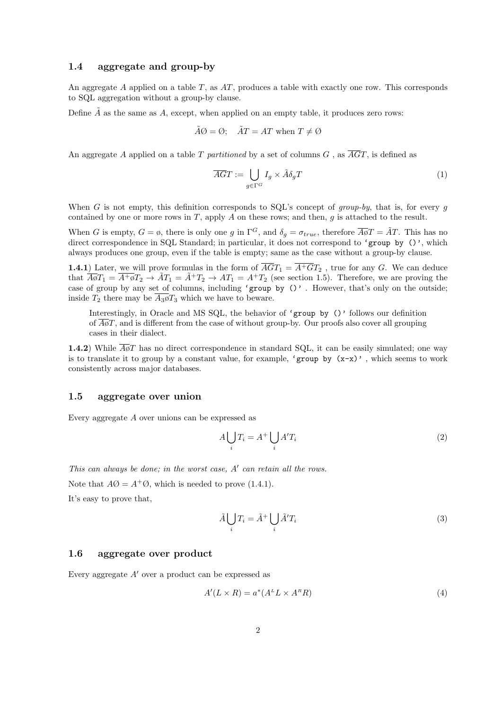#### 1.4 aggregate and group-by

An aggregate  $A$  applied on a table  $T$ , as  $AT$ , produces a table with exactly one row. This corresponds to SQL aggregation without a group-by clause.

Define  $\tilde{A}$  as the same as A, except, when applied on an empty table, it produces zero rows:

$$
\tilde{A}\emptyset = \emptyset; \quad \tilde{A}T = AT \text{ when } T \neq \emptyset
$$

An aggregate A applied on a table T partitioned by a set of columns  $G$ , as  $\overline{AGT}$ , is defined as

$$
\overline{AG}T := \bigcup_{g \in \Gamma^G} I_g \times \tilde{A}\delta_g T \tag{1}
$$

When G is not empty, this definition corresponds to  $SQL$ 's concept of group-by, that is, for every g contained by one or more rows in  $T$ , apply  $A$  on these rows; and then,  $g$  is attached to the result.

When G is empty,  $G = \emptyset$ , there is only one g in  $\Gamma^G$ , and  $\delta_g = \sigma_{true}$ , therefore  $\overline{A \emptyset}T = \tilde{A}T$ . This has no direct correspondence in SQL Standard; in particular, it does not correspond to 'group by ()', which always produces one group, even if the table is empty; same as the case without a group-by clause.

**1.4.1**) Later, we will prove formulas in the form of  $\overline{AG}T_1 = \overline{A^+G}T_2$ , true for any G. We can deduce that  $\overline{A\emptyset}T_1 = \overline{A^+\emptyset}T_2 \rightarrow \tilde{A}T_1 = \tilde{A}^+T_2 \rightarrow AT_1 = A^+T_2$  (see section 1.5). Therefore, we are proving the case of group by any set of columns, including 'group by ()'. However, that's only on the outside; inside  $T_2$  there may be  $\overline{A_3 \phi} T_3$  which we have to beware.

Interestingly, in Oracle and MS SQL, the behavior of 'group by ()' follows our definition of  $A\phi T$ , and is different from the case of without group-by. Our proofs also cover all grouping cases in their dialect.

**1.4.2)** While  $\overline{A\phi}T$  has no direct correspondence in standard SOL, it can be easily simulated; one way is to translate it to group by a constant value, for example, 'group by  $(x-x)$ ', which seems to work consistently across major databases.

#### 1.5 aggregate over union

Every aggregate A over unions can be expressed as

$$
A \bigcup_{i} T_i = A^+ \bigcup_{i} A'T_i \tag{2}
$$

This can always be done; in the worst case,  $A'$  can retain all the rows.

Note that  $A\emptyset = A^+\emptyset$ , which is needed to prove (1.4.1).

It's easy to prove that,

$$
\tilde{A} \bigcup_{i} T_i = \tilde{A}^+ \bigcup_{i} \tilde{A}' T_i
$$
\n(3)

#### 1.6 aggregate over product

Every aggregate  $A'$  over a product can be expressed as

$$
A'(L \times R) = a^*(A^L L \times A^R R)
$$
\n<sup>(4)</sup>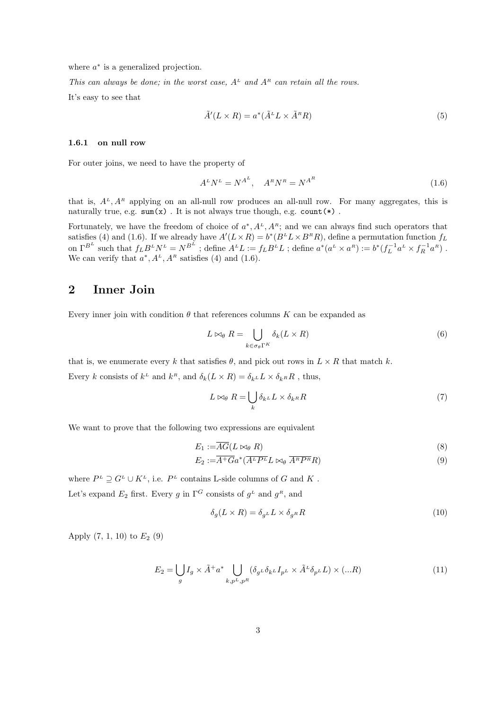where  $a^*$  is a generalized projection.

This can always be done; in the worst case,  $A<sup>L</sup>$  and  $A<sup>R</sup>$  can retain all the rows.

It's easy to see that

$$
\tilde{A}'(L \times R) = a^*(\tilde{A}^L L \times \tilde{A}^R R)
$$
\n<sup>(5)</sup>

#### 1.6.1 on null row

For outer joins, we need to have the property of

$$
A^L N^L = N^{A^L}, \quad A^R N^R = N^{A^R} \tag{1.6}
$$

that is,  $A^L$ ,  $A^R$  applying on an all-null row produces an all-null row. For many aggregates, this is naturally true, e.g.  $sum(x)$ . It is not always true though, e.g.  $count(*)$ .

Fortunately, we have the freedom of choice of  $a^*$ ,  $A^L$ ,  $A^R$ ; and we can always find such operators that satisfies (4) and (1.6). If we already have  $A'(L\times R) = b^*(B^L L \times B^R R)$ , define a permutation function  $f_L$ on  $\Gamma^{B^L}$  such that  $f_L B^L N^L = N^{B^L}$ ; define  $A^L L := f_L B^L L$ ; define  $a^*(a^L \times a^R) := b^*(f_L^{-1} a^L \times f_R^{-1} a^R)$ . We can verify that  $a^*$ ,  $A^L$ ,  $A^R$  satisfies (4) and (1.6).

# 2 Inner Join

Every inner join with condition  $\theta$  that references columns K can be expanded as

$$
L \bowtie_{\theta} R = \bigcup_{k \in \sigma_{\theta} \Gamma^{K}} \delta_{k} (L \times R)
$$
\n(6)

that is, we enumerate every k that satisfies  $\theta$ , and pick out rows in  $L \times R$  that match k. Every k consists of  $k^L$  and  $k^R$ , and  $\delta_k(L \times R) = \delta_{k^L}L \times \delta_{k^R}R$ , thus,

$$
L \bowtie_{\theta} R = \bigcup_{k} \delta_{k} L \times \delta_{k} R \tag{7}
$$

We want to prove that the following two expressions are equivalent

$$
E_1 := \overline{AG}(L \bowtie_{\theta} R) \tag{8}
$$

$$
E_2 := \overline{A^+ G} a^* (\overline{A^L P^L} L \bowtie_{\theta} \overline{A^R P^R} R) \tag{9}
$$

where  $P^{\iota} \supseteq G^{\iota} \cup K^{\iota}$ , i.e.  $P^{\iota}$  contains L-side columns of G and K. Let's expand  $E_2$  first. Every g in  $\Gamma^G$  consists of  $g^L$  and  $g^R$ , and

$$
\delta_g(L \times R) = \delta_{g^L} L \times \delta_{g^R} R \tag{10}
$$

Apply  $(7, 1, 10)$  to  $E_2$   $(9)$ 

$$
E_2 = \bigcup_g I_g \times \tilde{A}^+ a^* \bigcup_{k, p^L, p^R} (\delta_{g^L} \delta_{k^L} I_{p^L} \times \tilde{A}^L \delta_{p^L} L) \times (\dots R)
$$
\n(11)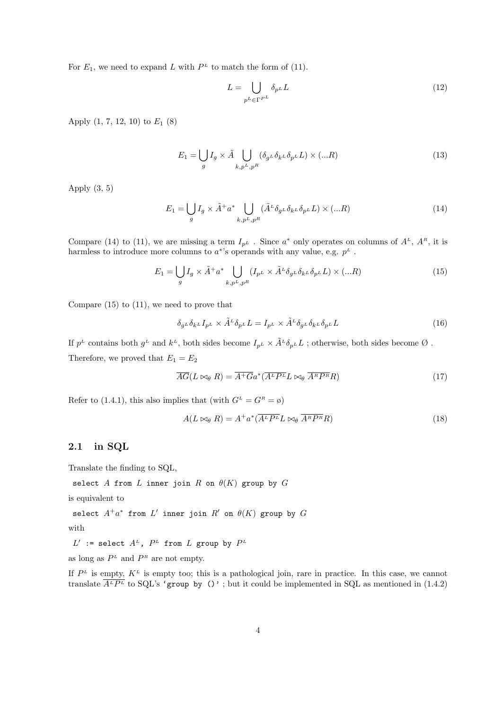For  $E_1$ , we need to expand L with  $P<sup>L</sup>$  to match the form of (11).

$$
L = \bigcup_{p^L \in \Gamma^{PL}} \delta_{p^L} L \tag{12}
$$

Apply  $(1, 7, 12, 10)$  to  $E_1$   $(8)$ 

$$
E_1 = \bigcup_g I_g \times \tilde{A} \bigcup_{k, p^L, p^R} (\delta_{g^L} \delta_{k^L} \delta_{p^L} L) \times (...R)
$$
\n(13)

Apply  $(3, 5)$ 

$$
E_1 = \bigcup_g I_g \times \tilde{A}^+ a^* \bigcup_{k, p^L, p^R} (\tilde{A}^L \delta_{g^L} \delta_{k^L} \delta_{p^L} L) \times (... R)
$$
\n(14)

Compare (14) to (11), we are missing a term  $I_{p^L}$ . Since  $a^*$  only operates on columns of  $A^L$ ,  $A^R$ , it is harmless to introduce more columns to  $a^*$ 's operands with any value, e.g.  $p^L$ .

$$
E_1 = \bigcup_g I_g \times \tilde{A}^+ a^* \bigcup_{k, p^L, p^R} (I_{p^L} \times \tilde{A}^L \delta_{g^L} \delta_{k^L} \delta_{p^L} L) \times (...R)
$$
 (15)

Compare  $(15)$  to  $(11)$ , we need to prove that

$$
\delta_{gL}\delta_{kL}I_{pL}\times\tilde{A}^{L}\delta_{pL}L=I_{pL}\times\tilde{A}^{L}\delta_{gL}\delta_{kL}\delta_{pL}L\tag{16}
$$

If  $p^L$  contains both  $g^L$  and  $k^L$ , both sides become  $I_{p^L} \times \tilde{A}^L \delta_{p^L} L$ ; otherwise, both sides become  $\emptyset$ . Therefore, we proved that  $E_1 = E_2$ 

$$
\overline{AG}(L \bowtie_{\theta} R) = \overline{A^+ G} a^* (\overline{A^L P^L} L \bowtie_{\theta} \overline{A^R P^R} R) \tag{17}
$$

Refer to (1.4.1), this also implies that (with  $G<sup>L</sup> = G<sup>R</sup> = \emptyset$ )

$$
A(L \bowtie_{\theta} R) = A^{+} a^{*} (\overline{A^{L} P^{L}} L \bowtie_{\theta} \overline{A^{R} P^{R}} R)
$$
\n
$$
(18)
$$

### 2.1 in SQL

Translate the finding to SQL,

select A from L inner join R on  $\theta(K)$  group by G

is equivalent to

select  $A^+a^*$  from  $L'$  inner join  $R'$  on  $\theta(K)$  group by  $G$ 

with

 $L'$  := select  $A^L$ ,  $P^L$  from  $L$  group by  $P^L$ 

as long as  $P<sup>L</sup>$  and  $P<sup>R</sup>$  are not empty.

If  $P<sup>L</sup>$  is empty,  $K<sup>L</sup>$  is empty too; this is a pathological join, rare in practice. In this case, we cannot translate  $\overline{A^L P^L}$  to SQL's 'group by ()'; but it could be implemented in SQL as mentioned in (1.4.2)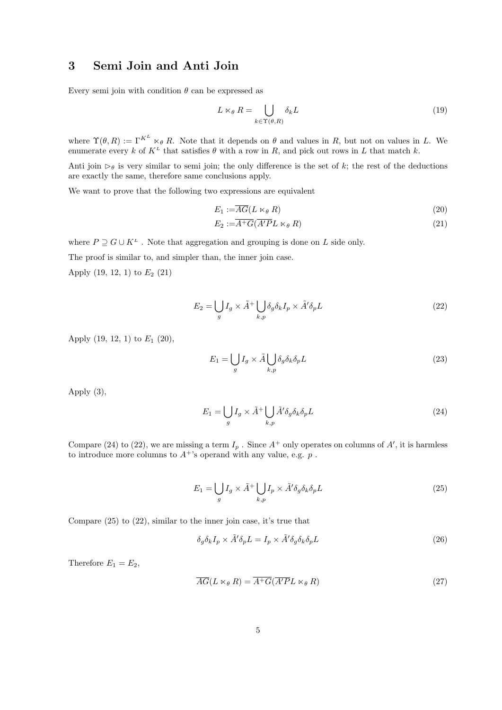# 3 Semi Join and Anti Join

Every semi join with condition  $\theta$  can be expressed as

$$
L \ltimes_{\theta} R = \bigcup_{k \in \Upsilon(\theta, R)} \delta_k L \tag{19}
$$

where  $\Upsilon(\theta, R) := \Gamma^{K^L} \ltimes_{\theta} R$ . Note that it depends on  $\theta$  and values in R, but not on values in L. We enumerate every k of  $K^L$  that satisfies  $\theta$  with a row in R, and pick out rows in L that match k.

Anti join  $\triangleright_{\theta}$  is very similar to semi join; the only difference is the set of k; the rest of the deductions are exactly the same, therefore same conclusions apply.

We want to prove that the following two expressions are equivalent

$$
E_1 := \overline{AG}(L \ltimes_{\theta} R) \tag{20}
$$

$$
E_2 := \overline{A^+G}(\overline{A'PL} \ltimes_{\theta} R) \tag{21}
$$

where  $P \supseteq G \cup K^L$ . Note that aggregation and grouping is done on L side only.

The proof is similar to, and simpler than, the inner join case.

Apply  $(19, 12, 1)$  to  $E_2$   $(21)$ 

$$
E_2 = \bigcup_g I_g \times \tilde{A}^+ \bigcup_{k,p} \delta_g \delta_k I_p \times \tilde{A}' \delta_p L \tag{22}
$$

Apply  $(19, 12, 1)$  to  $E_1$   $(20)$ ,

$$
E_1 = \bigcup_g I_g \times \tilde{A} \bigcup_{k,p} \delta_g \delta_k \delta_p L \tag{23}
$$

Apply (3),

$$
E_1 = \bigcup_g I_g \times \tilde{A}^+ \bigcup_{k,p} \tilde{A}' \delta_g \delta_k \delta_p L \tag{24}
$$

Compare (24) to (22), we are missing a term  $I_p$ . Since  $A^+$  only operates on columns of  $A'$ , it is harmless to introduce more columns to  $A^+$ 's operand with any value, e.g.  $p$ .

$$
E_1 = \bigcup_g I_g \times \tilde{A}^+ \bigcup_{k,p} I_p \times \tilde{A}' \delta_g \delta_k \delta_p L \tag{25}
$$

Compare (25) to (22), similar to the inner join case, it's true that

$$
\delta_g \delta_k I_p \times \tilde{A}' \delta_p L = I_p \times \tilde{A}' \delta_g \delta_k \delta_p L \tag{26}
$$

Therefore  $E_1 = E_2$ ,

$$
\overline{AG}(L \ltimes_{\theta} R) = \overline{A^+G}(\overline{A'PL} \ltimes_{\theta} R) \tag{27}
$$